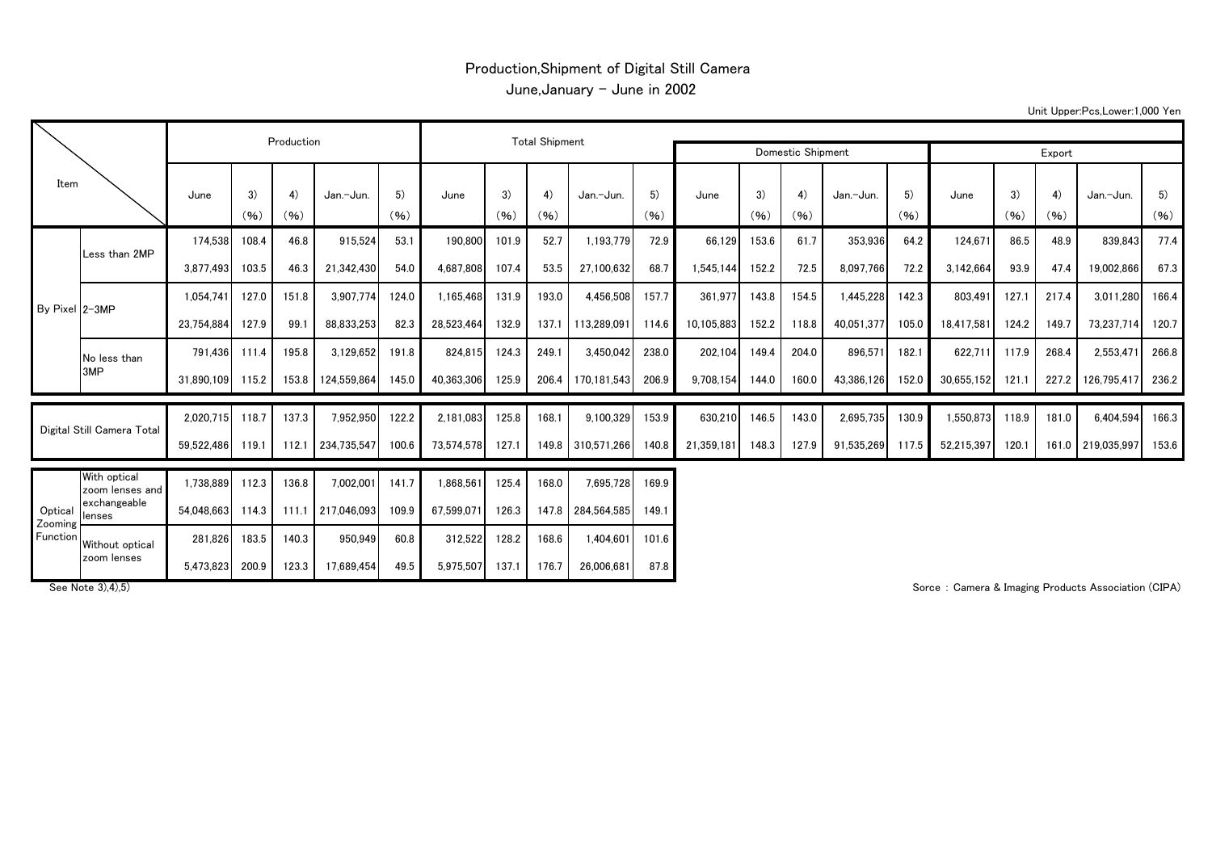## Production,Shipment of Digital Still Camera June,January - June in 2002

Unit Upper:Pcs,Lower:1,000 Yen

| Item                           |                                 |            | Production |                       |                   |            |            |            |            |                   |            |            |            |            |            |            |            |            |            |                   |            |
|--------------------------------|---------------------------------|------------|------------|-----------------------|-------------------|------------|------------|------------|------------|-------------------|------------|------------|------------|------------|------------|------------|------------|------------|------------|-------------------|------------|
|                                |                                 |            |            | <b>Total Shipment</b> |                   |            |            |            |            | Domestic Shipment | Export     |            |            |            |            |            |            |            |            |                   |            |
|                                |                                 | June       | 3)<br>(96) | 4)<br>(96)            | Jan.-Jun.         | 5)<br>(96) | June       | 3)<br>(96) | 4)<br>(96) | Jan.-Jun.         | 5)<br>(96) | June       | 3)<br>(96) | 4)<br>(96) | Jan.-Jun.  | 5)<br>(96) | June       | 3)<br>(96) | 4)<br>(96) | Jan.-Jun.         | 5)<br>(96) |
| By Pixel 2-3MP                 |                                 | 174.538    | 108.4      | 46.8                  | 915,524           | 53.1       | 190,800    | 101.9      | 52.7       | 1,193,779         | 72.9       | 66.129     | 153.6      | 61.7       | 353,936    | 64.2       | 124,671    | 86.5       | 48.9       | 839,843           | 77.4       |
|                                | Less than 2MP                   | 3.877.493  | 103.5      | 46.3                  | 21,342,430        | 54.0       | 4.687.808  | 107.4      | 53.5       | 27.100.632        | 68.7       | 1.545.144  | 152.2      | 72.5       | 8.097.766  | 72.2       | 3,142,664  | 93.9       | 47.4       | 19,002,866        | 67.3       |
|                                |                                 | 1.054.741  | 127.0      | 151.8                 | 3,907,774         | 124.0      | 1,165,468  | 131.9      | 193.0      | 4,456,508         | 157.7      | 361.977    | 143.8      | 154.5      | 1,445,228  | 142.3      | 803,491    | 127.1      | 217.4      | 3,011,280         | 166.4      |
|                                |                                 | 23,754,884 | 127.9      | 99.1                  | 88,833,253        | 82.3       | 28,523,464 | 132.9      | 137.1      | 113,289,091       | 114.6      | 10,105,883 | 152.2      | 118.8      | 40,051,377 | 105.0      | 18,417,581 | 124.2      | 149.7      | 73,237,714        | 120.7      |
|                                | No less than                    | 791.436    | 111.4      | 195.8                 | 3,129,652         | 191.8      | 824,815    | 124.3      | 249.1      | 3,450,042         | 238.0      | 202,104    | 149.4      | 204.0      | 896,571    | 182.1      | 622,711    | 117.9      | 268.4      | 2,553,471         | 266.8      |
|                                | 3MP                             | 31,890,109 | 115.2      | 153.8                 | 124,559,864       | 145.0      | 40,363,306 | 125.9      | 206.4      | 170,181,543       | 206.9      | 9,708,154  | 144.0      | 160.0      | 43,386,126 | 152.0      | 30,655,152 | 121.1      | 227.2      | 126,795,417       | 236.2      |
| Digital Still Camera Total     |                                 | 2.020.715  | 118.7      | 137.3                 | 7,952,950         | 122.2      | 2.181.083  | 125.8      | 168.1      | 9,100,329         | 153.9      | 630.210    | 146.5      | 143.0      | 2,695,735  | 130.9      | 1,550,873  | 118.9      | 181.0      | 6,404,594         | 166.3      |
|                                |                                 | 59,522,486 | 119.1      | 112.1                 | 234,735,547       | 100.6      | 73,574,578 | 127.1      |            | 149.8 310,571,266 | 140.8      | 21,359,181 | 148.3      | 127.9      | 91,535,269 | 117.5      | 52,215,397 | 120.1      |            | 161.0 219,035,997 | 153.6      |
| Optical<br>Zooming<br>Function | With optical<br>zoom lenses and | 1,738,889  | 112.3      | 136.8                 | 7,002,001         | 141.7      | 1,868,561  | 125.4      | 168.0      | 7,695,728         | 169.9      |            |            |            |            |            |            |            |            |                   |            |
|                                | exchangeable<br>lenses          | 54,048,663 | 114.3      |                       | 111.1 217.046.093 | 109.9      | 67.599.071 | 126.3      |            | 147.8 284,564,585 | 149.1      |            |            |            |            |            |            |            |            |                   |            |
|                                | Without optical                 | 281.826    | 183.5      | 140.3                 | 950,949           | 60.8       | 312,522    | 128.2      | 168.6      | 1,404,601         | 101.6      |            |            |            |            |            |            |            |            |                   |            |
|                                | zoom lenses                     | 5,473,823  | 200.9      | 123.3                 | 17,689,454        | 49.5       | 5,975,507  | 137.1      | 176.7      | 26,006,681        | 87.8       |            |            |            |            |            |            |            |            |                   |            |

See Note 3),4),5) **Subset 20, 200 and 20 and 20 and 3** Sorce : Camera & Imaging Products Association (CIPA) Sorce : Camera & Imaging Products Association (CIPA)